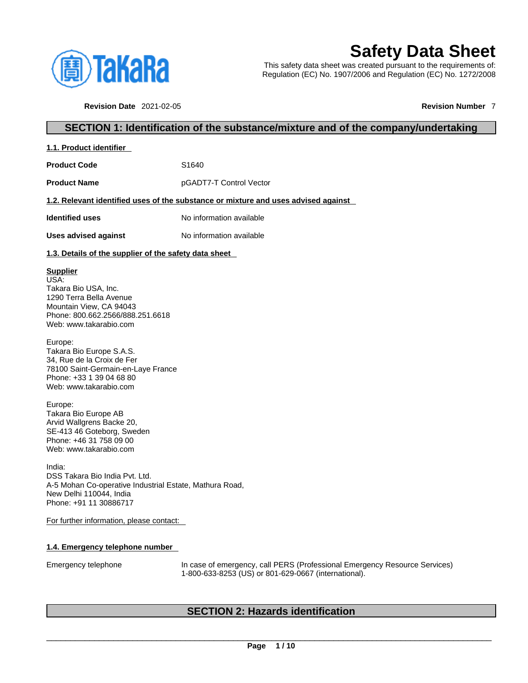

# **Safety Data Sheet**

This safety data sheet was created pursuant to the requirements of: Regulation (EC) No. 1907/2006 and Regulation (EC) No. 1272/2008

**Revision Date** 2021-02-05 **Revision Number** 7

# **SECTION 1: Identification of the substance/mixture and of the company/undertaking**

| 1.1. Product identifier |
|-------------------------|
|-------------------------|

**Product Code 51640** 

**Product Name** pGADT7-T Control Vector

# **1.2. Relevant identified uses of the substance or mixture and uses advised against**

**Identified uses** No information available

**Uses advised against** No information available

# **1.3. Details of the supplier of the safety data sheet**

# **Supplier**

USA: Takara Bio USA, Inc. 1290 Terra Bella Avenue Mountain View, CA 94043 Phone: 800.662.2566/888.251.6618 Web: www.takarabio.com

Europe: Takara Bio Europe S.A.S. 34, Rue de la Croix de Fer 78100 Saint-Germain-en-Laye France Phone: +33 1 39 04 68 80 Web: www.takarabio.com

Europe: Takara Bio Europe AB Arvid Wallgrens Backe 20, SE-413 46 Goteborg, Sweden Phone: +46 31 758 09 00 Web: www.takarabio.com

India: DSS Takara Bio India Pvt. Ltd. A-5 Mohan Co-operative Industrial Estate, Mathura Road, New Delhi 110044, India Phone: +91 11 30886717

For further information, please contact:

# **1.4. Emergency telephone number**

Emergency telephone In case of emergency, call PERS (Professional Emergency Resource Services) 1-800-633-8253 (US) or 801-629-0667 (international).

# **SECTION 2: Hazards identification**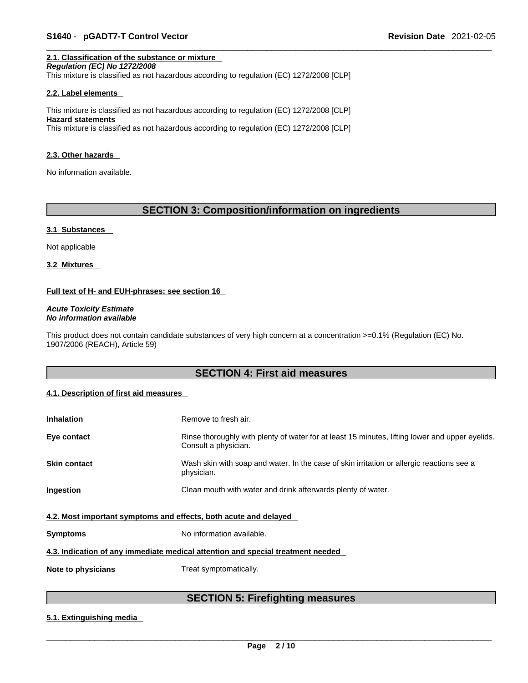# **2.1. Classification of the substance or mixture**

*Regulation (EC) No 1272/2008* 

This mixture is classified as not hazardous according to regulation (EC) 1272/2008 [CLP]

#### **2.2. Label elements**

This mixture is classified as not hazardous according to regulation (EC) 1272/2008 [CLP] **Hazard statements** This mixture is classified as not hazardous according to regulation (EC) 1272/2008 [CLP]

#### **2.3. Other hazards**

No information available.

# **SECTION 3: Composition/information on ingredients**

#### **3.1 Substances**

Not applicable

**3.2 Mixtures** 

# **Full text of H- and EUH-phrases: see section 16**

*Acute Toxicity Estimate No information available* 

This product does not contain candidate substances of very high concern at a concentration >=0.1% (Regulation (EC) No. 1907/2006 (REACH), Article 59)

# **SECTION 4: First aid measures**

# **4.1. Description of first aid measures**

| <b>Inhalation</b>                                                               | Remove to fresh air.                                                                                                    |  |  |
|---------------------------------------------------------------------------------|-------------------------------------------------------------------------------------------------------------------------|--|--|
| Eye contact                                                                     | Rinse thoroughly with plenty of water for at least 15 minutes, lifting lower and upper eyelids.<br>Consult a physician. |  |  |
| <b>Skin contact</b>                                                             | Wash skin with soap and water. In the case of skin irritation or allergic reactions see a<br>physician.                 |  |  |
| Ingestion                                                                       | Clean mouth with water and drink afterwards plenty of water.                                                            |  |  |
| 4.2. Most important symptoms and effects, both acute and delayed                |                                                                                                                         |  |  |
| <b>Symptoms</b>                                                                 | No information available.                                                                                               |  |  |
| 4.3. Indication of any immediate medical attention and special treatment needed |                                                                                                                         |  |  |
| Note to physicians                                                              | Treat symptomatically.                                                                                                  |  |  |

# **SECTION 5: Firefighting measures**

# **5.1. Extinguishing media**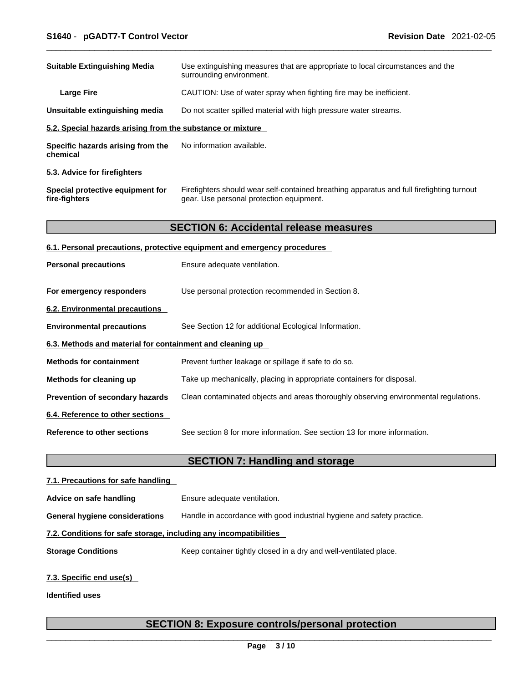| <b>Suitable Extinguishing Media</b>                        | Use extinguishing measures that are appropriate to local circumstances and the<br>surrounding environment.                            |
|------------------------------------------------------------|---------------------------------------------------------------------------------------------------------------------------------------|
| <b>Large Fire</b>                                          | CAUTION: Use of water spray when fighting fire may be inefficient.                                                                    |
| Unsuitable extinguishing media                             | Do not scatter spilled material with high pressure water streams.                                                                     |
| 5.2. Special hazards arising from the substance or mixture |                                                                                                                                       |
| Specific hazards arising from the<br>chemical              | No information available.                                                                                                             |
| 5.3. Advice for firefighters                               |                                                                                                                                       |
| Special protective equipment for<br>fire-fighters          | Firefighters should wear self-contained breathing apparatus and full firefighting turnout<br>gear. Use personal protection equipment. |
|                                                            | <b>SECTION 6: Accidental release measures</b>                                                                                         |
|                                                            | 6.1. Personal precautions, protective equipment and emergency procedures                                                              |
| <b>Personal precautions</b>                                | Ensure adequate ventilation.                                                                                                          |
| For emergency responders                                   | Use personal protection recommended in Section 8.                                                                                     |
| 6.2. Environmental precautions                             |                                                                                                                                       |
| <b>Environmental precautions</b>                           | See Section 12 for additional Ecological Information.                                                                                 |
| 6.3. Methods and material for containment and cleaning up  |                                                                                                                                       |
| <b>Methods for containment</b>                             | Prevent further leakage or spillage if safe to do so.                                                                                 |
| Methods for cleaning up                                    | Take up mechanically, placing in appropriate containers for disposal.                                                                 |
| Prevention of secondary hazards                            | Clean contaminated objects and areas thoroughly observing environmental regulations.                                                  |
| 6.4. Reference to other sections                           |                                                                                                                                       |
| <b>Reference to other sections</b>                         | See section 8 for more information. See section 13 for more information.                                                              |
|                                                            | <b>SECTION 7: Handling and storage</b>                                                                                                |
| 7.1. Precautions for safe handling                         |                                                                                                                                       |
| Advice on safe handling                                    | Ensure adequate ventilation.                                                                                                          |

**General hygiene considerations** Handle in accordance with good industrial hygiene and safety practice.

# **7.2. Conditions for safe storage, including any incompatibilities**

**Storage Conditions** Keep container tightly closed in a dry and well-ventilated place.

# **7.3. Specific end use(s)**

**Identified uses**

# **SECTION 8: Exposure controls/personal protection**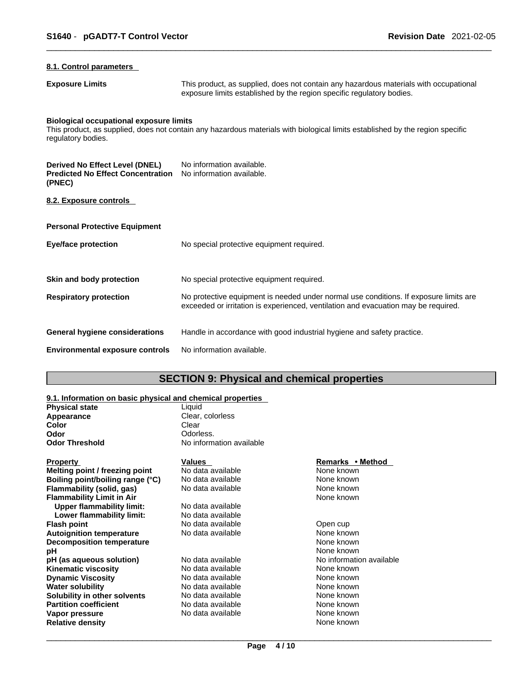# **8.1. Control parameters**

**Exposure Limits** This product, as supplied, does not contain any hazardous materials with occupational exposure limits established by the region specific regulatory bodies.

# **Biological occupational exposure limits**

This product, as supplied, does not contain any hazardous materials with biological limits established by the region specific regulatory bodies.

| Derived No Effect Level (DNEL)<br><b>Predicted No Effect Concentration</b><br>(PNEC) | No information available.<br>No information available.                                                                                                                      |
|--------------------------------------------------------------------------------------|-----------------------------------------------------------------------------------------------------------------------------------------------------------------------------|
| 8.2. Exposure controls                                                               |                                                                                                                                                                             |
| <b>Personal Protective Equipment</b>                                                 |                                                                                                                                                                             |
| Eye/face protection                                                                  | No special protective equipment required.                                                                                                                                   |
| Skin and body protection                                                             | No special protective equipment required.                                                                                                                                   |
| <b>Respiratory protection</b>                                                        | No protective equipment is needed under normal use conditions. If exposure limits are<br>exceeded or irritation is experienced, ventilation and evacuation may be required. |
| General hygiene considerations                                                       | Handle in accordance with good industrial hygiene and safety practice.                                                                                                      |
| <b>Environmental exposure controls</b>                                               | No information available.                                                                                                                                                   |

# **SECTION 9: Physical and chemical properties**

# **9.1. Information on basic physical and chemical properties**

| <u>U.I. MNUMMUUNI UN DUUNG PHYSICAI UNU UNUMMUU PIUPULIICU</u> |                          |                  |
|----------------------------------------------------------------|--------------------------|------------------|
| <b>Physical state</b>                                          | Liauid                   |                  |
| Appearance                                                     | Clear, colorless         |                  |
| Color                                                          | Clear                    |                  |
| Odor                                                           | Odorless.                |                  |
| <b>Odor Threshold</b>                                          | No information available |                  |
| <b>Property</b>                                                | Values                   | Remarks • Method |
| Melting point / freezing point                                 | No data available        | None known       |

| Melting point / freezing point   | No data available | None known               |
|----------------------------------|-------------------|--------------------------|
| Boiling point/boiling range (°C) | No data available | None known               |
| Flammability (solid, gas)        | No data available | None known               |
| Flammability Limit in Air        |                   | None known               |
| Upper flammability limit:        | No data available |                          |
| Lower flammability limit:        | No data available |                          |
| Flash point                      | No data available | Open cup                 |
| Autoignition temperature         | No data available | None known               |
| <b>Decomposition temperature</b> |                   | None known               |
| pН                               |                   | None known               |
| pH (as aqueous solution)         | No data available | No information available |
| Kinematic viscosity              | No data available | None known               |
| <b>Dynamic Viscosity</b>         | No data available | None known               |
| Water solubility                 | No data available | None known               |
| Solubility in other solvents     | No data available | None known               |
| <b>Partition coefficient</b>     | No data available | None known               |
| Vapor pressure                   | No data available | None known               |
| <b>Relative density</b>          |                   | None known               |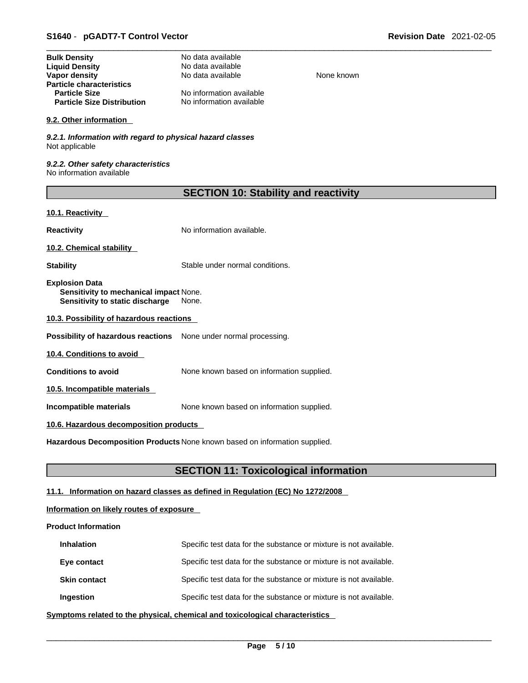| <b>Bulk Density</b>               | No data available        |
|-----------------------------------|--------------------------|
| <b>Liquid Density</b>             | No data available        |
| Vapor density                     | No data available        |
| <b>Particle characteristics</b>   |                          |
| <b>Particle Size</b>              | No information available |
| <b>Particle Size Distribution</b> | No information available |

#### **9.2. Other information**

*9.2.1. Information with regard to physical hazard classes* Not applicable

*9.2.2. Other safety characteristics* No information available

| <b>SECTION 10: Stability and reactivity</b> |  |  |
|---------------------------------------------|--|--|
|---------------------------------------------|--|--|

**None known** 

# **10.1. Reactivity**

**Reactivity No information available.** 

**10.2. Chemical stability** 

**Stability** Stable under normal conditions.

**Explosion Data Sensitivity to mechanical impact** None. **Sensitivity to static discharge** None.

**10.3. Possibility of hazardous reactions**

**Possibility of hazardous reactions** None under normal processing.

**10.4. Conditions to avoid** 

**Conditions to avoid** None known based on information supplied.

**10.5. Incompatible materials**

**Incompatible materials** None known based on information supplied.

# **10.6. Hazardous decomposition products**

**Hazardous Decomposition Products** None known based on information supplied.

# **SECTION 11: Toxicological information**

# **11.1. Information on hazard classes as defined in Regulation (EC) No 1272/2008**

# **Information on likely routes of exposure**

# **Product Information**

| <b>Inhalation</b>   | Specific test data for the substance or mixture is not available. |
|---------------------|-------------------------------------------------------------------|
| Eye contact         | Specific test data for the substance or mixture is not available. |
| <b>Skin contact</b> | Specific test data for the substance or mixture is not available. |
| Ingestion           | Specific test data for the substance or mixture is not available. |

**<u>Symptoms related to the physical, chemical and toxicological characteristics</u>**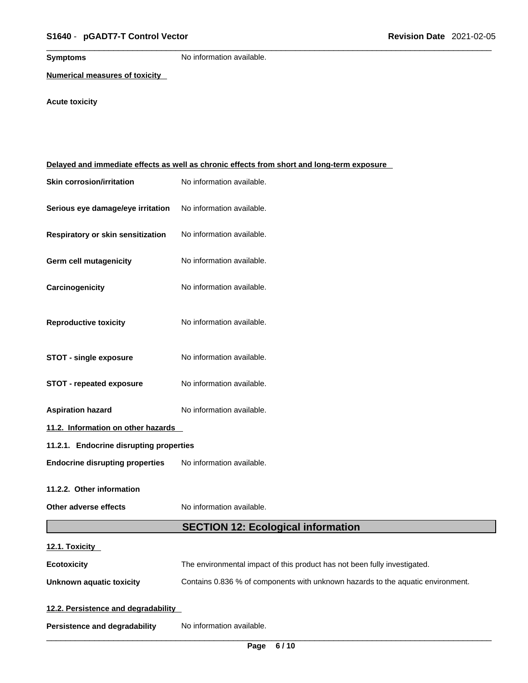**Symptoms** No information available.

**Numerical measures of toxicity**

# **Acute toxicity**

| Delayed and immediate effects as well as chronic effects from short and long-term exposure |                                                                                 |  |  |
|--------------------------------------------------------------------------------------------|---------------------------------------------------------------------------------|--|--|
| <b>Skin corrosion/irritation</b>                                                           | No information available.                                                       |  |  |
| Serious eye damage/eye irritation                                                          | No information available.                                                       |  |  |
| Respiratory or skin sensitization                                                          | No information available.                                                       |  |  |
| Germ cell mutagenicity                                                                     | No information available.                                                       |  |  |
| Carcinogenicity                                                                            | No information available.                                                       |  |  |
| <b>Reproductive toxicity</b>                                                               | No information available.                                                       |  |  |
| <b>STOT - single exposure</b>                                                              | No information available.                                                       |  |  |
| <b>STOT - repeated exposure</b>                                                            | No information available.                                                       |  |  |
| <b>Aspiration hazard</b>                                                                   | No information available.                                                       |  |  |
| 11.2. Information on other hazards                                                         |                                                                                 |  |  |
| 11.2.1. Endocrine disrupting properties                                                    |                                                                                 |  |  |
| <b>Endocrine disrupting properties</b>                                                     | No information available.                                                       |  |  |
| 11.2.2. Other information                                                                  |                                                                                 |  |  |
| Other adverse effects                                                                      | No information available.                                                       |  |  |
|                                                                                            | <b>SECTION 12: Ecological information</b>                                       |  |  |
| 12.1. Toxicity                                                                             |                                                                                 |  |  |
| <b>Ecotoxicity</b>                                                                         | The environmental impact of this product has not been fully investigated.       |  |  |
| <b>Unknown aquatic toxicity</b>                                                            | Contains 0.836 % of components with unknown hazards to the aquatic environment. |  |  |
| 12.2. Persistence and degradability                                                        |                                                                                 |  |  |
| <b>Persistence and degradability</b>                                                       | No information available.                                                       |  |  |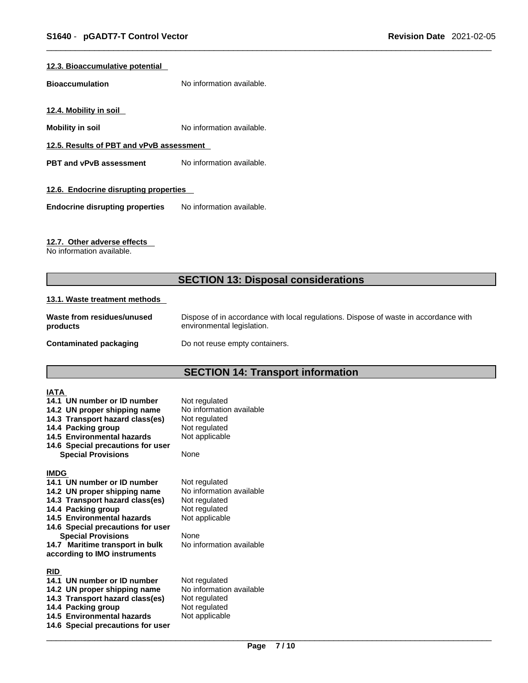# **12.3. Bioaccumulative potential**

**Bioaccumulation** No information available.

**12.4. Mobility in soil** 

**Mobility in soil Mobility in soil No** information available.

**12.5. Results of PBT and vPvB assessment**

**PBT** and **vPvB** assessment No information available.

# **12.6. Endocrine disrupting properties**

**Endocrine disrupting properties** No information available.

# **12.7. Other adverse effects**

No information available.

# **SECTION 13: Disposal considerations**

# **13.1. Waste treatment methods**

| Waste from residues/unused | Dispose of in accordance with local regulations. Dispose of waste in accordance with |
|----------------------------|--------------------------------------------------------------------------------------|
| products                   | environmental legislation.                                                           |
| Contaminated packaging     | Do not reuse empty containers.                                                       |

# **SECTION 14: Transport information**

| IATA        |                                                             |                                           |
|-------------|-------------------------------------------------------------|-------------------------------------------|
|             | 14.1 UN number or ID number<br>14.2 UN proper shipping name | Not regulated<br>No information available |
|             | 14.3 Transport hazard class(es)                             | Not regulated                             |
|             | 14.4 Packing group                                          | Not regulated                             |
|             | 14.5 Environmental hazards                                  | Not applicable                            |
|             | 14.6 Special precautions for user                           |                                           |
|             | <b>Special Provisions</b>                                   | None                                      |
| <b>IMDG</b> |                                                             |                                           |
|             | 14.1 UN number or ID number                                 | Not regulated                             |
|             | 14.2 UN proper shipping name                                | No information available                  |
|             | 14.3 Transport hazard class(es)                             | Not regulated                             |
|             | 14.4 Packing group                                          | Not regulated                             |
|             | 14.5 Environmental hazards                                  | Not applicable                            |
|             | 14.6 Special precautions for user                           |                                           |
|             | <b>Special Provisions</b>                                   | None                                      |
|             | 14.7 Maritime transport in bulk                             | No information available                  |
|             | according to IMO instruments                                |                                           |
| <b>RID</b>  |                                                             |                                           |
|             | 14.1 UN number or ID number                                 | Not regulated                             |
|             | 14.2 UN proper shipping name                                | No information available                  |
|             | 14.3 Transport hazard class(es)                             | Not regulated                             |
|             | 14.4 Packing group                                          | Not regulated                             |
|             | 14.5 Environmental hazards                                  | Not applicable                            |
|             | 14.6 Special precautions for user                           |                                           |
|             |                                                             |                                           |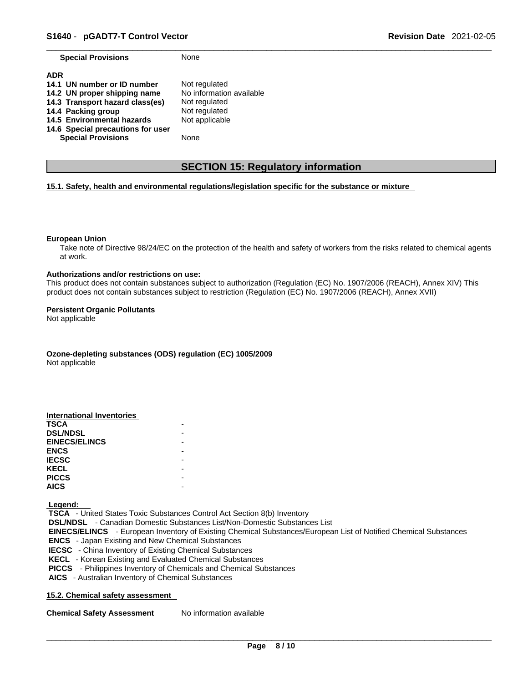**Special Provisions** None

| <b>ADR</b>                        |                          |
|-----------------------------------|--------------------------|
| 14.1 UN number or ID number       | Not regulated            |
| 14.2 UN proper shipping name      | No information available |
| 14.3 Transport hazard class(es)   | Not regulated            |
| 14.4 Packing group                | Not regulated            |
| 14.5 Environmental hazards        | Not applicable           |
| 14.6 Special precautions for user |                          |
| <b>Special Provisions</b>         | None                     |

# **SECTION 15: Regulatory information**

# **15.1. Safety, health and environmental regulations/legislation specific for the substance or mixture**

#### **European Union**

Take note of Directive 98/24/EC on the protection of the health and safety of workers from the risks related to chemical agents at work.

#### **Authorizations and/or restrictions on use:**

This product does not contain substances subject to authorization (Regulation (EC) No. 1907/2006 (REACH), Annex XIV) This product does not contain substances subject to restriction (Regulation (EC) No. 1907/2006 (REACH), Annex XVII)

#### **Persistent Organic Pollutants**

Not applicable

**Ozone-depleting substances (ODS) regulation (EC) 1005/2009**

Not applicable

| International Inventories |  |
|---------------------------|--|
| <b>TSCA</b>               |  |
| <b>DSL/NDSL</b>           |  |
| <b>EINECS/ELINCS</b>      |  |
| <b>ENCS</b>               |  |
| <b>IECSC</b>              |  |
| <b>KECL</b>               |  |
| <b>PICCS</b>              |  |
| <b>AICS</b>               |  |

 **Legend:** 

 **TSCA** - United States Toxic Substances Control Act Section 8(b) Inventory  **DSL/NDSL** - Canadian Domestic Substances List/Non-Domestic Substances List  **EINECS/ELINCS** - European Inventory of Existing Chemical Substances/European List of Notified Chemical Substances  **ENCS** - Japan Existing and New Chemical Substances  **IECSC** - China Inventory of Existing Chemical Substances  **KECL** - Korean Existing and Evaluated Chemical Substances  **PICCS** - Philippines Inventory of Chemicals and Chemical Substances  **AICS** - Australian Inventory of Chemical Substances

# **15.2. Chemical safety assessment**

**Chemical Safety Assessment** No information available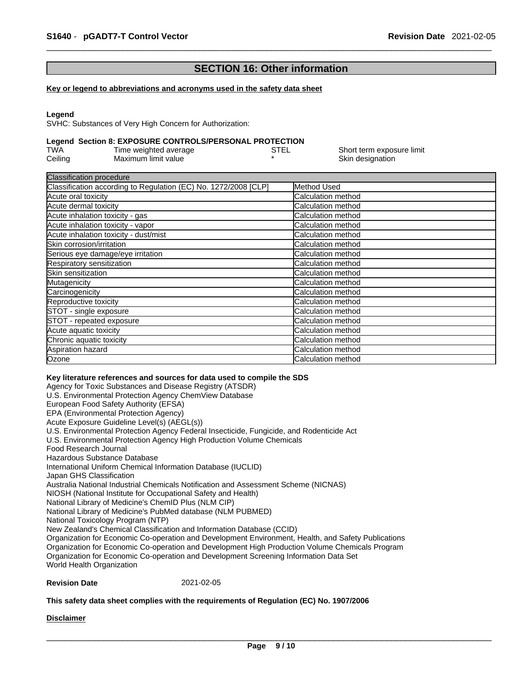# **SECTION 16: Other information**

#### **Key or legend to abbreviations and acronyms used in the safety data sheet**

#### **Legend**

SVHC: Substances of Very High Concern for Authorization:

# **Legend Section 8: EXPOSURE CONTROLS/PERSONAL PROTECTION**

| TWA     | Time weighted average | STEL | Short term exposure limit |
|---------|-----------------------|------|---------------------------|
| Ceiling | Maximum limit value   |      | Skin designation          |

| Method Used                |
|----------------------------|
| Calculation method         |
| Calculation method         |
| Calculation method         |
| Calculation method         |
| <b>Calculation method</b>  |
| <b>ICalculation method</b> |
| Calculation method         |
| Calculation method         |
| Calculation method         |
| Calculation method         |
| Calculation method         |
| <b>Calculation method</b>  |
| Calculation method         |
| Calculation method         |
| Calculation method         |
| Calculation method         |
| <b>Calculation method</b>  |
| Calculation method         |
|                            |

#### **Key literature references and sources for data used to compile the SDS**

Agency for Toxic Substances and Disease Registry (ATSDR) U.S. Environmental Protection Agency ChemView Database European Food Safety Authority (EFSA) EPA (Environmental Protection Agency) Acute Exposure Guideline Level(s) (AEGL(s)) U.S. Environmental Protection Agency Federal Insecticide, Fungicide, and Rodenticide Act U.S. Environmental Protection Agency High Production Volume Chemicals Food Research Journal Hazardous Substance Database International Uniform Chemical Information Database (IUCLID) Japan GHS Classification Australia National Industrial Chemicals Notification and Assessment Scheme (NICNAS) NIOSH (National Institute for Occupational Safety and Health) National Library of Medicine's ChemID Plus (NLM CIP) National Library of Medicine's PubMed database (NLM PUBMED) National Toxicology Program (NTP) New Zealand's Chemical Classification and Information Database (CCID) Organization for Economic Co-operation and Development Environment, Health, and Safety Publications Organization for Economic Co-operation and Development High Production Volume Chemicals Program Organization for Economic Co-operation and Development Screening Information Data Set World Health Organization

#### **Revision Date** 2021-02-05

#### **This safety data sheet complies with the requirements of Regulation (EC) No. 1907/2006**

# **Disclaimer**